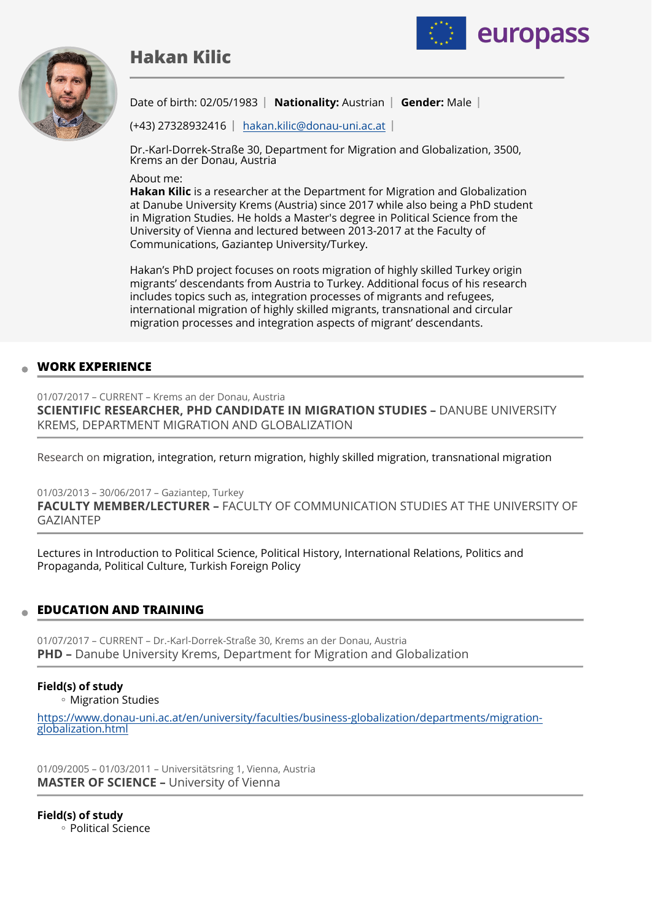# **Hakan Kilic**





Date of birth: 02/05/1983 **| Nationality:** Austrian | Gender: Male |

(+43) 27328932416 [hakan.kilic@donau-uni.ac.at](mailto:hakan.kilic@donau-uni.ac.at)

Dr.-Karl-Dorrek-Straße 30, Department for Migration and Globalization, 3500, Krems an der Donau, Austria

About me:

**Hakan Kilic** is a researcher at the Department for Migration and Globalization at Danube University Krems (Austria) since 2017 while also being a PhD student in Migration Studies. He holds a Master's degree in Political Science from the University of Vienna and lectured between 2013-2017 at the Faculty of Communications, Gaziantep University/Turkey.

Hakan's PhD project focuses on roots migration of highly skilled Turkey origin migrants' descendants from Austria to Turkey. Additional focus of his research includes topics such as, integration processes of migrants and refugees, international migration of highly skilled migrants, transnational and circular migration processes and integration aspects of migrant' descendants.

## **WORK EXPERIENCE**

01/07/2017 – CURRENT – Krems an der Donau, Austria **SCIENTIFIC RESEARCHER, PHD CANDIDATE IN MIGRATION STUDIES –** DANUBE UNIVERSITY KREMS, DEPARTMENT MIGRATION AND GLOBALIZATION

Research on migration, integration, return migration, highly skilled migration, transnational migration

01/03/2013 – 30/06/2017 – Gaziantep, Turkey **FACULTY MEMBER/LECTURER –** FACULTY OF COMMUNICATION STUDIES AT THE UNIVERSITY OF GAZIANTEP

Lectures in Introduction to Political Science, Political History, International Relations, Politics and Propaganda, Political Culture, Turkish Foreign Policy

## **EDUCATION AND TRAINING**

01/07/2017 – CURRENT – Dr.-Karl-Dorrek-Straße 30, Krems an der Donau, Austria **PHD –** Danube University Krems, Department for Migration and Globalization

### **Field(s) of study**

Migration Studies ◦

[https://www.donau-uni.ac.at/en/university/faculties/business-globalization/departments/migration](https://www.donau-uni.ac.at/en/university/faculties/business-globalization/departments/migration-globalization.html)[globalization.html](https://www.donau-uni.ac.at/en/university/faculties/business-globalization/departments/migration-globalization.html)

01/09/2005 – 01/03/2011 – Universitätsring 1, Vienna, Austria **MASTER OF SCIENCE –** University of Vienna

**Field(s) of study** Political Science ◦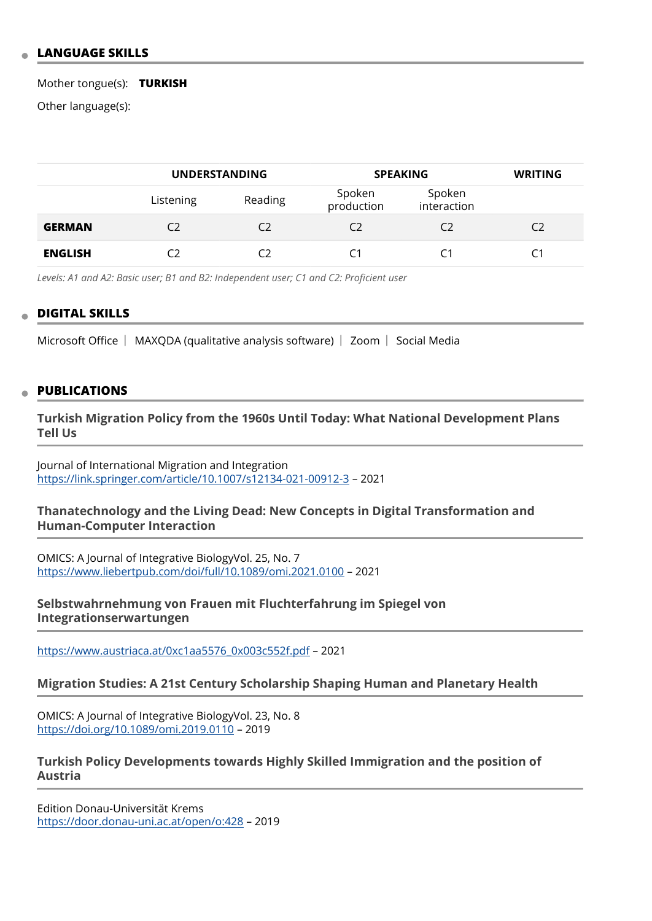### **LANGUAGE SKILLS**

#### Mother tongue(s): **TURKISH**

Other language(s):

|                | <b>UNDERSTANDING</b> |         | <b>SPEAKING</b>      |                       | <b>WRITING</b> |
|----------------|----------------------|---------|----------------------|-----------------------|----------------|
|                | Listening            | Reading | Spoken<br>production | Spoken<br>interaction |                |
| <b>GERMAN</b>  | C)                   | C2      | C2                   | C2                    | C2             |
| <b>ENGLISH</b> | C٦                   |         | C1                   | C1                    | C1             |

*Levels: A1 and A2: Basic user; B1 and B2: Independent user; C1 and C2: Proficient user*

#### **DIGITAL SKILLS**

Microsoft Office  $\parallel$  MAXQDA (qualitative analysis software)  $\parallel$  Zoom  $\parallel$  Social Media

#### **PUBLICATIONS**

**Turkish Migration Policy from the 1960s Until Today: What National Development Plans Tell Us** 

Journal of International Migration and Integration <https://link.springer.com/article/10.1007/s12134-021-00912-3> – 2021

#### **Thanatechnology and the Living Dead: New Concepts in Digital Transformation and Human-Computer Interaction**

OMICS: A Journal of Integrative BiologyVol. 25, No. 7 <https://www.liebertpub.com/doi/full/10.1089/omi.2021.0100> – 2021

**Selbstwahrnehmung von Frauen mit Fluchterfahrung im Spiegel von Integrationserwartungen** 

[https://www.austriaca.at/0xc1aa5576\\_0x003c552f.pdf](https://www.austriaca.at/0xc1aa5576_0x003c552f.pdf) – 2021

#### **Migration Studies: A 21st Century Scholarship Shaping Human and Planetary Health**

OMICS: A Journal of Integrative BiologyVol. 23, No. 8 <https://doi.org/10.1089/omi.2019.0110>– 2019

### **Turkish Policy Developments towards Highly Skilled Immigration and the position of Austria**

Edition Donau-Universität Krems <https://door.donau-uni.ac.at/open/o:428> – 2019